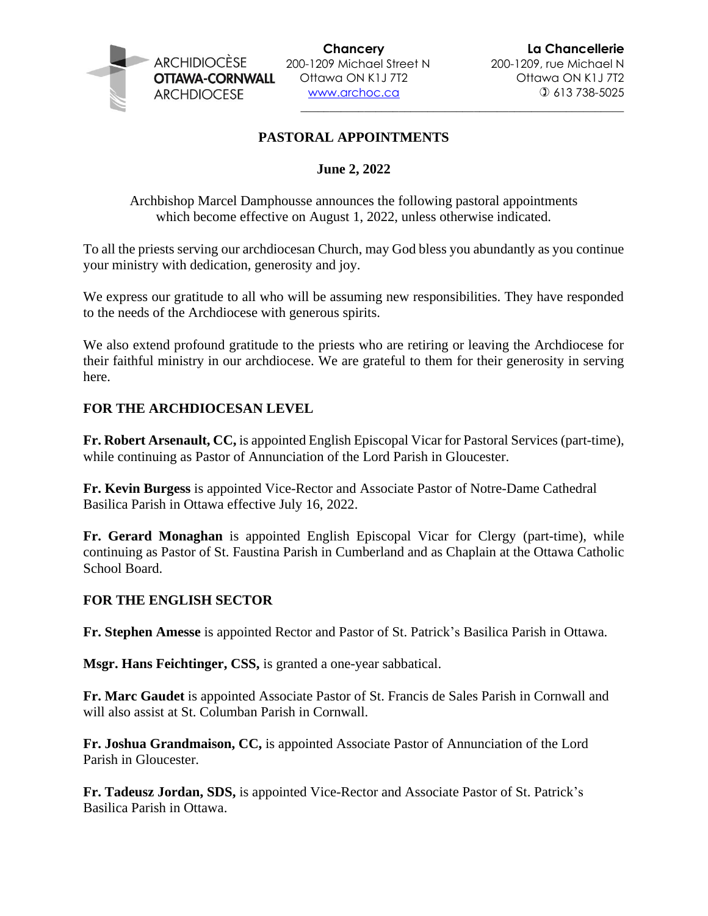

200-1209 Michael Street N 200-1209, rue Michael N

\_\_\_\_\_\_\_\_\_\_\_\_\_\_\_\_\_\_\_\_\_\_\_\_\_\_\_\_\_\_\_\_\_\_\_\_\_\_\_\_\_\_\_\_\_\_\_\_\_\_\_\_\_\_\_\_

# **PASTORAL APPOINTMENTS**

## **June 2, 2022**

Archbishop Marcel Damphousse announces the following pastoral appointments which become effective on August 1, 2022, unless otherwise indicated.

To all the priests serving our archdiocesan Church, may God bless you abundantly as you continue your ministry with dedication, generosity and joy.

We express our gratitude to all who will be assuming new responsibilities. They have responded to the needs of the Archdiocese with generous spirits.

We also extend profound gratitude to the priests who are retiring or leaving the Archdiocese for their faithful ministry in our archdiocese. We are grateful to them for their generosity in serving here.

## **FOR THE ARCHDIOCESAN LEVEL**

**Fr. Robert Arsenault, CC,** is appointed English Episcopal Vicar for Pastoral Services (part-time), while continuing as Pastor of Annunciation of the Lord Parish in Gloucester.

**Fr. Kevin Burgess** is appointed Vice-Rector and Associate Pastor of Notre-Dame Cathedral Basilica Parish in Ottawa effective July 16, 2022.

**Fr. Gerard Monaghan** is appointed English Episcopal Vicar for Clergy (part-time), while continuing as Pastor of St. Faustina Parish in Cumberland and as Chaplain at the Ottawa Catholic School Board.

#### **FOR THE ENGLISH SECTOR**

**Fr. Stephen Amesse** is appointed Rector and Pastor of St. Patrick's Basilica Parish in Ottawa.

**Msgr. Hans Feichtinger, CSS,** is granted a one-year sabbatical.

**Fr. Marc Gaudet** is appointed Associate Pastor of St. Francis de Sales Parish in Cornwall and will also assist at St. Columban Parish in Cornwall.

**Fr. Joshua Grandmaison, CC,** is appointed Associate Pastor of Annunciation of the Lord Parish in Gloucester.

**Fr. Tadeusz Jordan, SDS,** is appointed Vice-Rector and Associate Pastor of St. Patrick's Basilica Parish in Ottawa.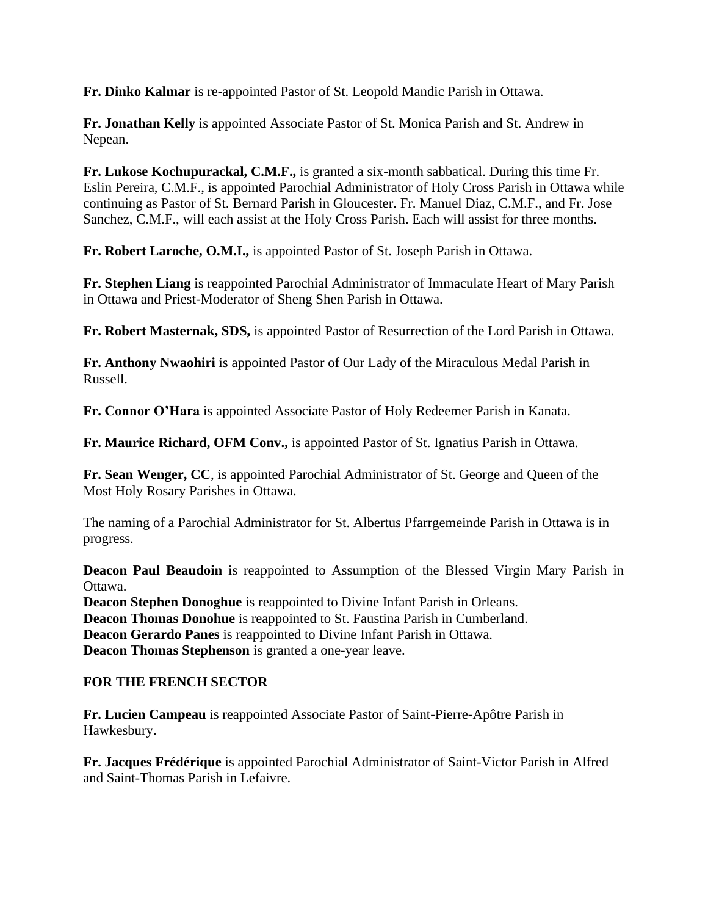**Fr. Dinko Kalmar** is re-appointed Pastor of St. Leopold Mandic Parish in Ottawa.

**Fr. Jonathan Kelly** is appointed Associate Pastor of St. Monica Parish and St. Andrew in Nepean.

**Fr. Lukose Kochupurackal, C.M.F.,** is granted a six-month sabbatical. During this time Fr. Eslin Pereira, C.M.F., is appointed Parochial Administrator of Holy Cross Parish in Ottawa while continuing as Pastor of St. Bernard Parish in Gloucester. Fr. Manuel Diaz, C.M.F., and Fr. Jose Sanchez, C.M.F., will each assist at the Holy Cross Parish. Each will assist for three months.

**Fr. Robert Laroche, O.M.I.,** is appointed Pastor of St. Joseph Parish in Ottawa.

**Fr. Stephen Liang** is reappointed Parochial Administrator of Immaculate Heart of Mary Parish in Ottawa and Priest-Moderator of Sheng Shen Parish in Ottawa.

**Fr. Robert Masternak, SDS,** is appointed Pastor of Resurrection of the Lord Parish in Ottawa.

**Fr. Anthony Nwaohiri** is appointed Pastor of Our Lady of the Miraculous Medal Parish in Russell.

**Fr. Connor O'Hara** is appointed Associate Pastor of Holy Redeemer Parish in Kanata.

**Fr. Maurice Richard, OFM Conv.,** is appointed Pastor of St. Ignatius Parish in Ottawa.

**Fr. Sean Wenger, CC**, is appointed Parochial Administrator of St. George and Queen of the Most Holy Rosary Parishes in Ottawa.

The naming of a Parochial Administrator for St. Albertus Pfarrgemeinde Parish in Ottawa is in progress.

**Deacon Paul Beaudoin** is reappointed to Assumption of the Blessed Virgin Mary Parish in Ottawa.

**Deacon Stephen Donoghue** is reappointed to Divine Infant Parish in Orleans. **Deacon Thomas Donohue** is reappointed to St. Faustina Parish in Cumberland. **Deacon Gerardo Panes** is reappointed to Divine Infant Parish in Ottawa. **Deacon Thomas Stephenson** is granted a one-year leave.

## **FOR THE FRENCH SECTOR**

**Fr. Lucien Campeau** is reappointed Associate Pastor of Saint-Pierre-Apôtre Parish in Hawkesbury.

**Fr. Jacques Frédérique** is appointed Parochial Administrator of Saint-Victor Parish in Alfred and Saint-Thomas Parish in Lefaivre.